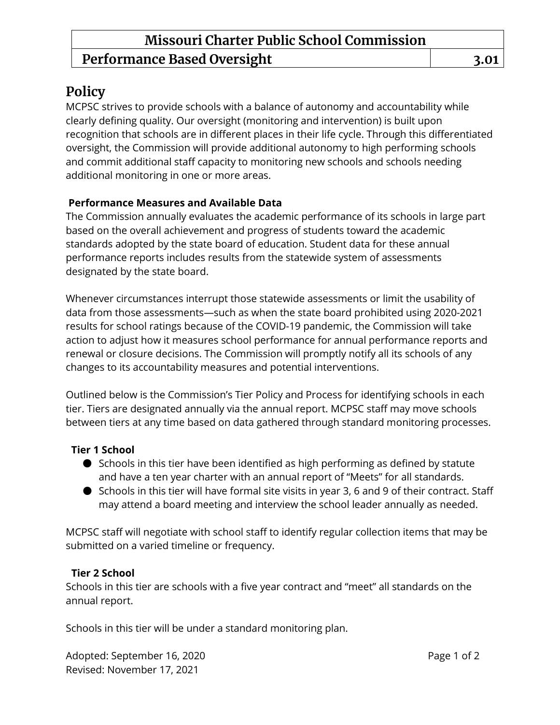# **Policy**

MCPSC strives to provide schools with a balance of autonomy and accountability while clearly defining quality. Our oversight (monitoring and intervention) is built upon recognition that schools are in different places in their life cycle. Through this differentiated oversight, the Commission will provide additional autonomy to high performing schools and commit additional staff capacity to monitoring new schools and schools needing additional monitoring in one or more areas.

#### **Performance Measures and Available Data**

The Commission annually evaluates the academic performance of its schools in large part based on the overall achievement and progress of students toward the academic standards adopted by the state board of education. Student data for these annual performance reports includes results from the statewide system of assessments designated by the state board.

Whenever circumstances interrupt those statewide assessments or limit the usability of data from those assessments—such as when the state board prohibited using 2020-2021 results for school ratings because of the COVID-19 pandemic, the Commission will take action to adjust how it measures school performance for annual performance reports and renewal or closure decisions. The Commission will promptly notify all its schools of any changes to its accountability measures and potential interventions.

Outlined below is the Commission's Tier Policy and Process for identifying schools in each tier. Tiers are designated annually via the annual report. MCPSC staff may move schools between tiers at any time based on data gathered through standard monitoring processes.

## **Tier 1 School**

- Schools in this tier have been identified as high performing as defined by statute and have a ten year charter with an annual report of "Meets" for all standards.
- Schools in this tier will have formal site visits in year 3, 6 and 9 of their contract. Staff may attend a board meeting and interview the school leader annually as needed.

MCPSC staff will negotiate with school staff to identify regular collection items that may be submitted on a varied timeline or frequency.

## **Tier 2 School**

Schools in this tier are schools with a five year contract and "meet" all standards on the annual report.

Schools in this tier will be under a standard monitoring plan.

Adopted: September 16, 2020 **Page 1 of 2** Revised: November 17, 2021